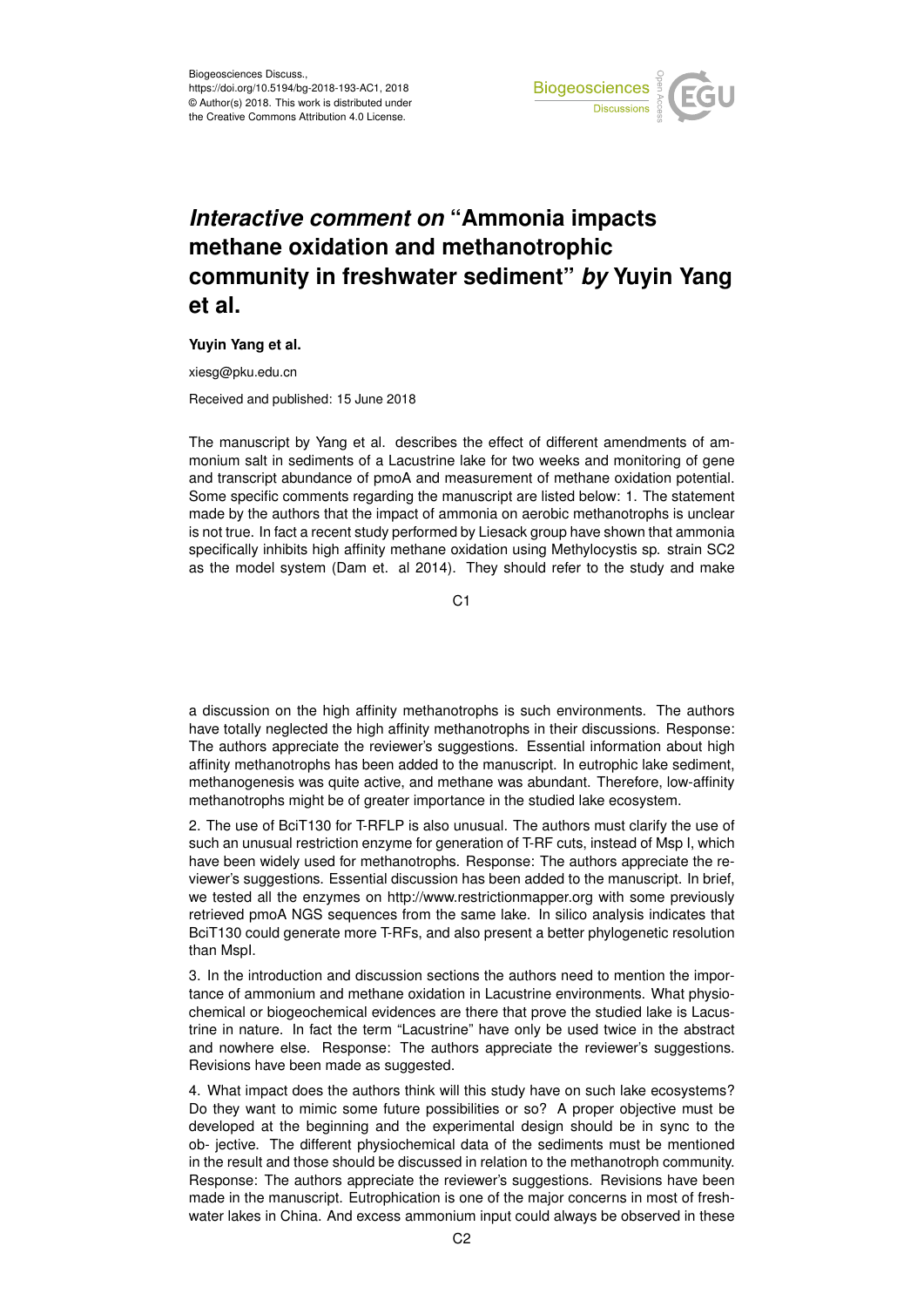

## *Interactive comment on* **"Ammonia impacts methane oxidation and methanotrophic community in freshwater sediment"** *by* **Yuyin Yang et al.**

## **Yuyin Yang et al.**

xiesg@pku.edu.cn

Received and published: 15 June 2018

The manuscript by Yang et al. describes the effect of different amendments of ammonium salt in sediments of a Lacustrine lake for two weeks and monitoring of gene and transcript abundance of pmoA and measurement of methane oxidation potential. Some specific comments regarding the manuscript are listed below: 1. The statement made by the authors that the impact of ammonia on aerobic methanotrophs is unclear is not true. In fact a recent study performed by Liesack group have shown that ammonia specifically inhibits high affinity methane oxidation using Methylocystis sp. strain SC2 as the model system (Dam et. al 2014). They should refer to the study and make

C<sub>1</sub>

a discussion on the high affinity methanotrophs is such environments. The authors have totally neglected the high affinity methanotrophs in their discussions. Response: The authors appreciate the reviewer's suggestions. Essential information about high affinity methanotrophs has been added to the manuscript. In eutrophic lake sediment, methanogenesis was quite active, and methane was abundant. Therefore, low-affinity methanotrophs might be of greater importance in the studied lake ecosystem.

2. The use of BciT130 for T-RFLP is also unusual. The authors must clarify the use of such an unusual restriction enzyme for generation of T-RF cuts, instead of Msp I, which have been widely used for methanotrophs. Response: The authors appreciate the reviewer's suggestions. Essential discussion has been added to the manuscript. In brief, we tested all the enzymes on http://www.restrictionmapper.org with some previously retrieved pmoA NGS sequences from the same lake. In silico analysis indicates that BciT130 could generate more T-RFs, and also present a better phylogenetic resolution than MspI.

3. In the introduction and discussion sections the authors need to mention the importance of ammonium and methane oxidation in Lacustrine environments. What physiochemical or biogeochemical evidences are there that prove the studied lake is Lacustrine in nature. In fact the term "Lacustrine" have only be used twice in the abstract and nowhere else. Response: The authors appreciate the reviewer's suggestions. Revisions have been made as suggested.

4. What impact does the authors think will this study have on such lake ecosystems? Do they want to mimic some future possibilities or so? A proper objective must be developed at the beginning and the experimental design should be in sync to the ob- jective. The different physiochemical data of the sediments must be mentioned in the result and those should be discussed in relation to the methanotroph community. Response: The authors appreciate the reviewer's suggestions. Revisions have been made in the manuscript. Eutrophication is one of the major concerns in most of freshwater lakes in China. And excess ammonium input could always be observed in these